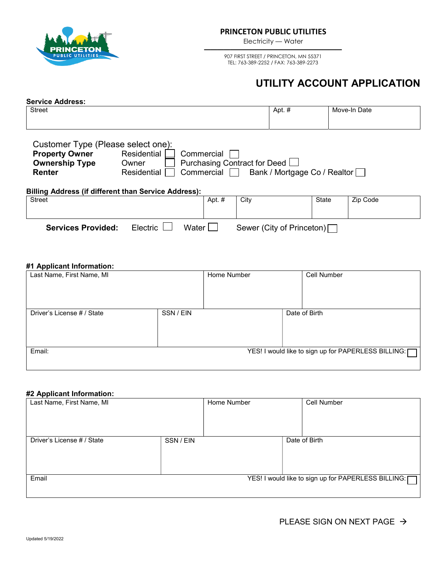

Electricity — Water —————————————————————

> 907 FIRST STREET / PRINCETON, MN 55371 TEL: 763-389-2252 / FAX: 763-389-2273

## UTILITY ACCOUNT APPLICATION

| <b>Service Address:</b>                                                                                                                                                                                                                                                                                            |          |       |                |                           |       |              |  |  |  |
|--------------------------------------------------------------------------------------------------------------------------------------------------------------------------------------------------------------------------------------------------------------------------------------------------------------------|----------|-------|----------------|---------------------------|-------|--------------|--|--|--|
| <b>Street</b>                                                                                                                                                                                                                                                                                                      |          |       |                | Apt. #                    |       | Move-In Date |  |  |  |
| Customer Type (Please select one):<br>Residential<br><b>Property Owner</b><br>Commercial<br>Purchasing Contract for Deed <b>L</b><br><b>Ownership Type</b><br>Owner<br>Commercial<br>Bank / Mortgage Co / Realtor  <br>Residential<br><b>Renter</b><br><b>Billing Address (if different than Service Address):</b> |          |       |                |                           |       |              |  |  |  |
| <b>Street</b>                                                                                                                                                                                                                                                                                                      |          |       | Apt. #<br>City |                           | State | Zip Code     |  |  |  |
| <b>Services Provided:</b>                                                                                                                                                                                                                                                                                          | Electric | Water |                | Sewer (City of Princeton) |       |              |  |  |  |

## #1 Applicant Information:

| Last Name, First Name, MI  | Home Number | Cell Number                                         |
|----------------------------|-------------|-----------------------------------------------------|
| Driver's License # / State | SSN / EIN   | Date of Birth                                       |
| Email:                     |             | YES! I would like to sign up for PAPERLESS BILLING: |

## #2 Applicant Information:

| Home Number | Cell Number                                         |
|-------------|-----------------------------------------------------|
|             |                                                     |
|             | Date of Birth                                       |
|             |                                                     |
|             | YES! I would like to sign up for PAPERLESS BILLING: |
|             | SSN / EIN                                           |